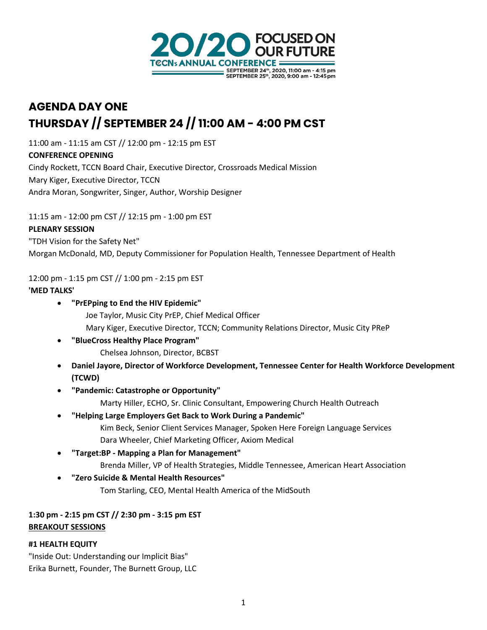

# **AGENDA DAY ONE THURSDAY // SEPTEMBER 24 // 11:00 AM - 4:00 PM CST**

11:00 am - 11:15 am CST // 12:00 pm - 12:15 pm EST **CONFERENCE OPENING**  Cindy Rockett, TCCN Board Chair, Executive Director, Crossroads Medical Mission Mary Kiger, Executive Director, TCCN Andra Moran, Songwriter, Singer, Author, Worship Designer

11:15 am - 12:00 pm CST // 12:15 pm - 1:00 pm EST

### **PLENARY SESSION**

"TDH Vision for the Safety Net"

Morgan McDonald, MD, Deputy Commissioner for Population Health, Tennessee Department of Health

12:00 pm - 1:15 pm CST // 1:00 pm - 2:15 pm EST

## **'MED TALKS'**

- **"PrEPping to End the HIV Epidemic"**
	- Joe Taylor, Music City PrEP, Chief Medical Officer
	- Mary Kiger, Executive Director, TCCN; Community Relations Director, Music City PReP
- **"BlueCross Healthy Place Program"**
	- Chelsea Johnson, Director, BCBST
- **Daniel Jayore, Director of Workforce Development, Tennessee Center for Health Workforce Development (TCWD)**
- **"Pandemic: Catastrophe or Opportunity"**
	- Marty Hiller, ECHO, Sr. Clinic Consultant, Empowering Church Health Outreach
- **"Helping Large Employers Get Back to Work During a Pandemic"**
	- Kim Beck, Senior Client Services Manager, Spoken Here Foreign Language Services Dara Wheeler, Chief Marketing Officer, Axiom Medical
- **"Target:BP - Mapping a Plan for Management"**
	- Brenda Miller, VP of Health Strategies, Middle Tennessee, American Heart Association
- **"Zero Suicide & Mental Health Resources"**
	- Tom Starling, CEO, Mental Health America of the MidSouth

## **1:30 pm - 2:15 pm CST // 2:30 pm - 3:15 pm EST BREAKOUT SESSIONS**

## **#1 HEALTH EQUITY**

"Inside Out: Understanding our Implicit Bias" Erika Burnett, Founder, The Burnett Group, LLC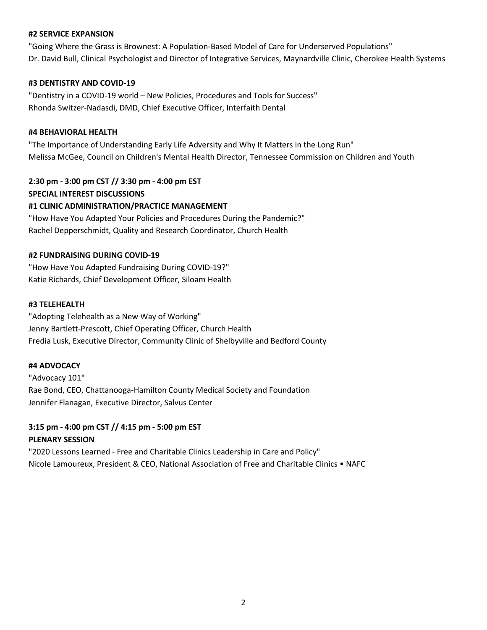#### **#2 SERVICE EXPANSION**

"Going Where the Grass is Brownest: A Population-Based Model of Care for Underserved Populations" Dr. David Bull, Clinical Psychologist and Director of Integrative Services, Maynardville Clinic, Cherokee Health Systems

#### **#3 DENTISTRY AND COVID-19**

"Dentistry in a COVID-19 world – New Policies, Procedures and Tools for Success" Rhonda Switzer-Nadasdi, DMD, Chief Executive Officer, Interfaith Dental

#### **#4 BEHAVIORAL HEALTH**

"The Importance of Understanding Early Life Adversity and Why It Matters in the Long Run" Melissa McGee, Council on Children's Mental Health Director, Tennessee Commission on Children and Youth

**2:30 pm - 3:00 pm CST // 3:30 pm - 4:00 pm EST SPECIAL INTEREST DISCUSSIONS #1 CLINIC ADMINISTRATION/PRACTICE MANAGEMENT**

"How Have You Adapted Your Policies and Procedures During the Pandemic?" Rachel Depperschmidt, Quality and Research Coordinator, Church Health

#### **#2 FUNDRAISING DURING COVID-19**

"How Have You Adapted Fundraising During COVID-19?" Katie Richards, Chief Development Officer, Siloam Health

#### **#3 TELEHEALTH**

"Adopting Telehealth as a New Way of Working" Jenny Bartlett-Prescott, Chief Operating Officer, Church Health Fredia Lusk, Executive Director, Community Clinic of Shelbyville and Bedford County

#### **#4 ADVOCACY**

"Advocacy 101" Rae Bond, CEO, Chattanooga-Hamilton County Medical Society and Foundation Jennifer Flanagan, Executive Director, Salvus Center

## **3:15 pm - 4:00 pm CST // 4:15 pm - 5:00 pm EST PLENARY SESSION**

"2020 Lessons Learned - Free and Charitable Clinics Leadership in Care and Policy" Nicole Lamoureux, President & CEO, National Association of Free and Charitable Clinics • NAFC